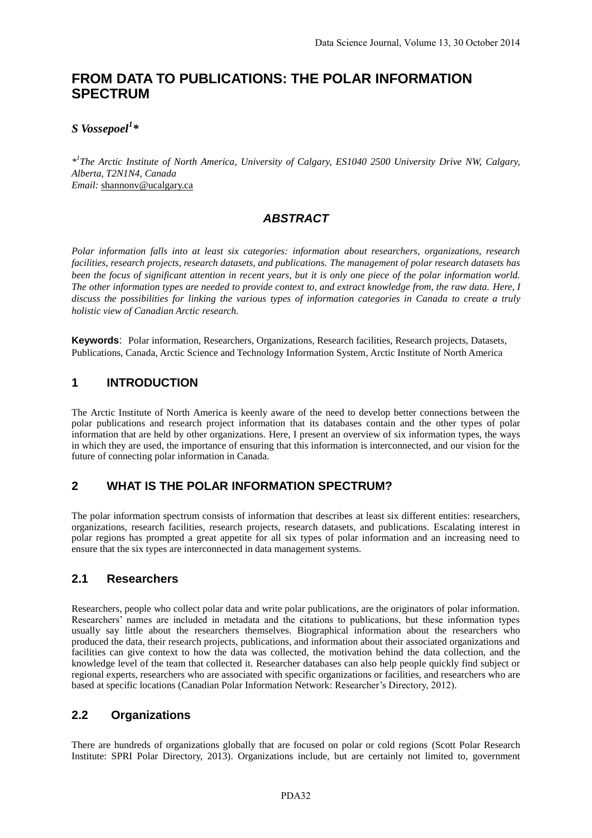# **FROM DATA TO PUBLICATIONS: THE POLAR INFORMATION SPECTRUM**

### *S Vossepoel<sup>1</sup> \**

*\* 1 The Arctic Institute of North America, University of Calgary, ES1040 2500 University Drive NW, Calgary, Alberta, T2N1N4, Canada Email:* shannonv@ucalgary.ca

### *ABSTRACT*

*Polar information falls into at least six categories: information about researchers, organizations, research facilities, research projects, research datasets, and publications. The management of polar research datasets has been the focus of significant attention in recent years, but it is only one piece of the polar information world. The other information types are needed to provide context to, and extract knowledge from, the raw data. Here, I discuss the possibilities for linking the various types of information categories in Canada to create a truly holistic view of Canadian Arctic research.*

**Keywords**: Polar information, Researchers, Organizations, Research facilities, Research projects, Datasets, Publications, Canada, Arctic Science and Technology Information System, Arctic Institute of North America

#### **1 INTRODUCTION**

The Arctic Institute of North America is keenly aware of the need to develop better connections between the polar publications and research project information that its databases contain and the other types of polar information that are held by other organizations. Here, I present an overview of six information types, the ways in which they are used, the importance of ensuring that this information is interconnected, and our vision for the future of connecting polar information in Canada.

### **2 WHAT IS THE POLAR INFORMATION SPECTRUM?**

The polar information spectrum consists of information that describes at least six different entities: researchers, organizations, research facilities, research projects, research datasets, and publications. Escalating interest in polar regions has prompted a great appetite for all six types of polar information and an increasing need to ensure that the six types are interconnected in data management systems.

#### **2.1 Researchers**

Researchers, people who collect polar data and write polar publications, are the originators of polar information. Researchers' names are included in metadata and the citations to publications, but these information types usually say little about the researchers themselves. Biographical information about the researchers who produced the data, their research projects, publications, and information about their associated organizations and facilities can give context to how the data was collected, the motivation behind the data collection, and the knowledge level of the team that collected it. Researcher databases can also help people quickly find subject or regional experts, researchers who are associated with specific organizations or facilities, and researchers who are based at specific locations (Canadian Polar Information Network: Researcher's Directory, 2012).

#### **2.2 Organizations**

There are hundreds of organizations globally that are focused on polar or cold regions (Scott Polar Research Institute: SPRI Polar Directory, 2013). Organizations include, but are certainly not limited to, government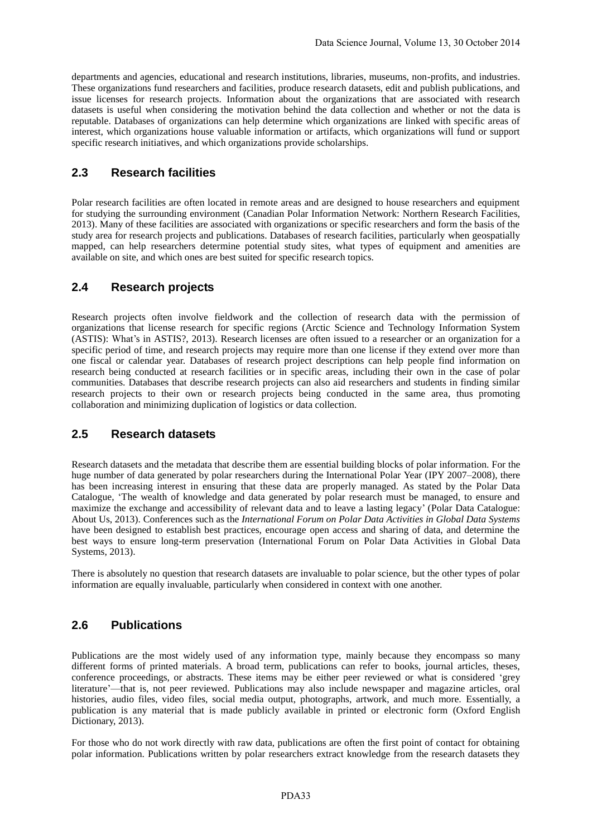departments and agencies, educational and research institutions, libraries, museums, non-profits, and industries. These organizations fund researchers and facilities, produce research datasets, edit and publish publications, and issue licenses for research projects. Information about the organizations that are associated with research datasets is useful when considering the motivation behind the data collection and whether or not the data is reputable. Databases of organizations can help determine which organizations are linked with specific areas of interest, which organizations house valuable information or artifacts, which organizations will fund or support specific research initiatives, and which organizations provide scholarships.

#### **2.3 Research facilities**

Polar research facilities are often located in remote areas and are designed to house researchers and equipment for studying the surrounding environment (Canadian Polar Information Network: Northern Research Facilities, 2013). Many of these facilities are associated with organizations or specific researchers and form the basis of the study area for research projects and publications. Databases of research facilities, particularly when geospatially mapped, can help researchers determine potential study sites, what types of equipment and amenities are available on site, and which ones are best suited for specific research topics.

### **2.4 Research projects**

Research projects often involve fieldwork and the collection of research data with the permission of organizations that license research for specific regions (Arctic Science and Technology Information System (ASTIS): What's in ASTIS?, 2013). Research licenses are often issued to a researcher or an organization for a specific period of time, and research projects may require more than one license if they extend over more than one fiscal or calendar year. Databases of research project descriptions can help people find information on research being conducted at research facilities or in specific areas, including their own in the case of polar communities. Databases that describe research projects can also aid researchers and students in finding similar research projects to their own or research projects being conducted in the same area, thus promoting collaboration and minimizing duplication of logistics or data collection.

### **2.5 Research datasets**

Research datasets and the metadata that describe them are essential building blocks of polar information. For the huge number of data generated by polar researchers during the International Polar Year (IPY 2007–2008), there has been increasing interest in ensuring that these data are properly managed. As stated by the Polar Data Catalogue, 'The wealth of knowledge and data generated by polar research must be managed, to ensure and maximize the exchange and accessibility of relevant data and to leave a lasting legacy' (Polar Data Catalogue: About Us, 2013). Conferences such as the *International Forum on Polar Data Activities in Global Data Systems* have been designed to establish best practices, encourage open access and sharing of data, and determine the best ways to ensure long-term preservation (International Forum on Polar Data Activities in Global Data Systems, 2013).

There is absolutely no question that research datasets are invaluable to polar science, but the other types of polar information are equally invaluable, particularly when considered in context with one another.

### **2.6 Publications**

Publications are the most widely used of any information type, mainly because they encompass so many different forms of printed materials. A broad term, publications can refer to books, journal articles, theses, conference proceedings, or abstracts. These items may be either peer reviewed or what is considered 'grey literature'—that is, not peer reviewed. Publications may also include newspaper and magazine articles, oral histories, audio files, video files, social media output, photographs, artwork, and much more. Essentially, a publication is any material that is made publicly available in printed or electronic form (Oxford English Dictionary, 2013).

For those who do not work directly with raw data, publications are often the first point of contact for obtaining polar information. Publications written by polar researchers extract knowledge from the research datasets they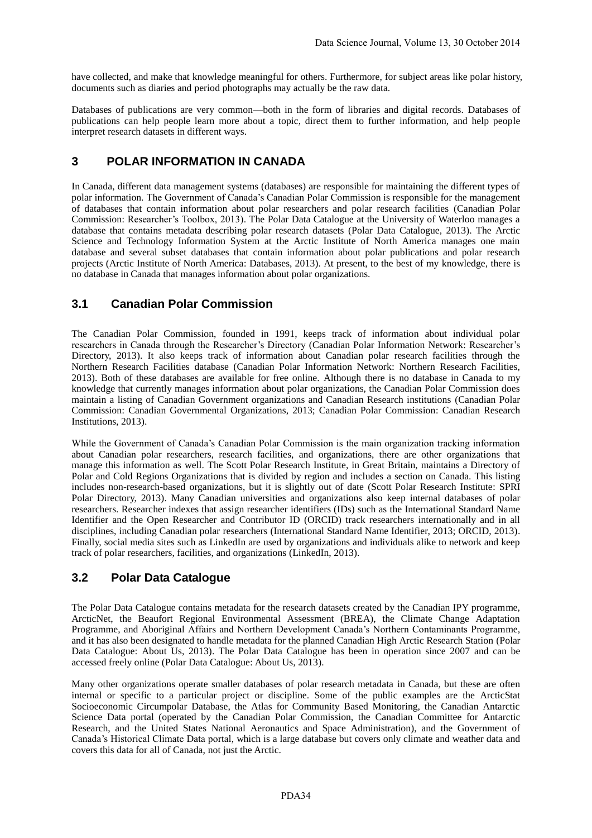have collected, and make that knowledge meaningful for others. Furthermore, for subject areas like polar history, documents such as diaries and period photographs may actually be the raw data.

Databases of publications are very common—both in the form of libraries and digital records. Databases of publications can help people learn more about a topic, direct them to further information, and help people interpret research datasets in different ways.

### **3 POLAR INFORMATION IN CANADA**

In Canada, different data management systems (databases) are responsible for maintaining the different types of polar information. The Government of Canada's Canadian Polar Commission is responsible for the management of databases that contain information about polar researchers and polar research facilities (Canadian Polar Commission: Researcher's Toolbox, 2013). The Polar Data Catalogue at the University of Waterloo manages a database that contains metadata describing polar research datasets (Polar Data Catalogue, 2013). The Arctic Science and Technology Information System at the Arctic Institute of North America manages one main database and several subset databases that contain information about polar publications and polar research projects (Arctic Institute of North America: Databases, 2013). At present, to the best of my knowledge, there is no database in Canada that manages information about polar organizations.

### **3.1 Canadian Polar Commission**

The Canadian Polar Commission, founded in 1991, keeps track of information about individual polar researchers in Canada through the Researcher's Directory (Canadian Polar Information Network: Researcher's Directory, 2013). It also keeps track of information about Canadian polar research facilities through the Northern Research Facilities database (Canadian Polar Information Network: Northern Research Facilities, 2013). Both of these databases are available for free online. Although there is no database in Canada to my knowledge that currently manages information about polar organizations, the Canadian Polar Commission does maintain a listing of Canadian Government organizations and Canadian Research institutions (Canadian Polar Commission: Canadian Governmental Organizations, 2013; Canadian Polar Commission: Canadian Research Institutions, 2013).

While the Government of Canada's Canadian Polar Commission is the main organization tracking information about Canadian polar researchers, research facilities, and organizations, there are other organizations that manage this information as well. The Scott Polar Research Institute, in Great Britain, maintains a Directory of Polar and Cold Regions Organizations that is divided by region and includes a section on Canada. This listing includes non-research-based organizations, but it is slightly out of date (Scott Polar Research Institute: SPRI Polar Directory, 2013). Many Canadian universities and organizations also keep internal databases of polar researchers. Researcher indexes that assign researcher identifiers (IDs) such as the International Standard Name Identifier and the Open Researcher and Contributor ID (ORCID) track researchers internationally and in all disciplines, including Canadian polar researchers (International Standard Name Identifier, 2013; ORCID, 2013). Finally, social media sites such as LinkedIn are used by organizations and individuals alike to network and keep track of polar researchers, facilities, and organizations (LinkedIn, 2013).

### **3.2 Polar Data Catalogue**

The Polar Data Catalogue contains metadata for the research datasets created by the Canadian IPY programme, ArcticNet, the Beaufort Regional Environmental Assessment (BREA), the Climate Change Adaptation Programme, and Aboriginal Affairs and Northern Development Canada's Northern Contaminants Programme, and it has also been designated to handle metadata for the planned Canadian High Arctic Research Station (Polar Data Catalogue: About Us, 2013). The Polar Data Catalogue has been in operation since 2007 and can be accessed freely online (Polar Data Catalogue: About Us, 2013).

Many other organizations operate smaller databases of polar research metadata in Canada, but these are often internal or specific to a particular project or discipline. Some of the public examples are the ArcticStat Socioeconomic Circumpolar Database, the Atlas for Community Based Monitoring, the Canadian Antarctic Science Data portal (operated by the Canadian Polar Commission, the Canadian Committee for Antarctic Research, and the United States National Aeronautics and Space Administration), and the Government of Canada's Historical Climate Data portal, which is a large database but covers only climate and weather data and covers this data for all of Canada, not just the Arctic.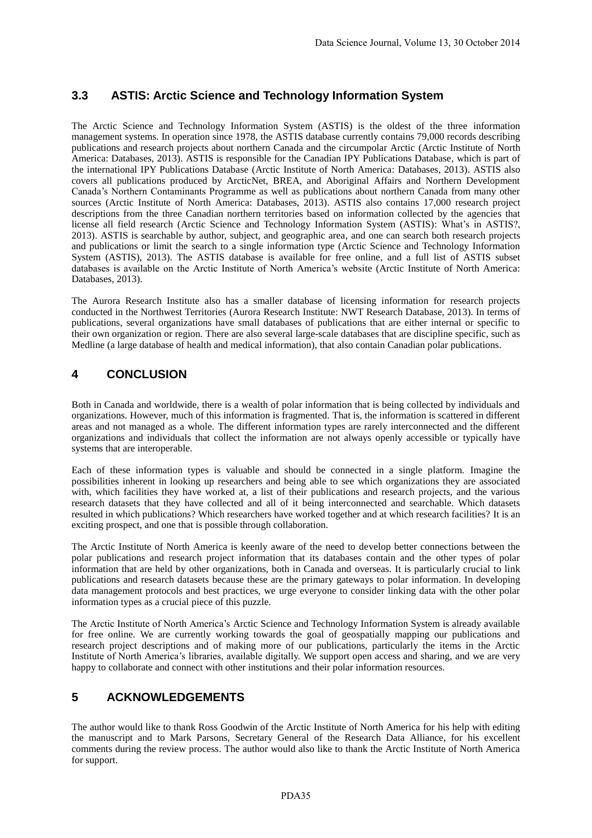# **3.3 ASTIS: Arctic Science and Technology Information System**

The Arctic Science and Technology Information System (ASTIS) is the oldest of the three information management systems. In operation since 1978, the ASTIS database currently contains 79,000 records describing publications and research projects about northern Canada and the circumpolar Arctic (Arctic Institute of North America: Databases, 2013). ASTIS is responsible for the Canadian IPY Publications Database, which is part of the international IPY Publications Database (Arctic Institute of North America: Databases, 2013). ASTIS also covers all publications produced by ArcticNet, BREA, and Aboriginal Affairs and Northern Development Canada's Northern Contaminants Programme as well as publications about northern Canada from many other sources (Arctic Institute of North America: Databases, 2013). ASTIS also contains 17,000 research project descriptions from the three Canadian northern territories based on information collected by the agencies that license all field research (Arctic Science and Technology Information System (ASTIS): What's in ASTIS?, 2013). ASTIS is searchable by author, subject, and geographic area, and one can search both research projects and publications or limit the search to a single information type (Arctic Science and Technology Information System (ASTIS), 2013). The ASTIS database is available for free online, and a full list of ASTIS subset databases is available on the Arctic Institute of North America's website (Arctic Institute of North America: Databases, 2013).

The Aurora Research Institute also has a smaller database of licensing information for research projects conducted in the Northwest Territories (Aurora Research Institute: NWT Research Database, 2013). In terms of publications, several organizations have small databases of publications that are either internal or specific to their own organization or region. There are also several large-scale databases that are discipline specific, such as Medline (a large database of health and medical information), that also contain Canadian polar publications.

# **4 CONCLUSION**

Both in Canada and worldwide, there is a wealth of polar information that is being collected by individuals and organizations. However, much of this information is fragmented. That is, the information is scattered in different areas and not managed as a whole. The different information types are rarely interconnected and the different organizations and individuals that collect the information are not always openly accessible or typically have systems that are interoperable.

Each of these information types is valuable and should be connected in a single platform. Imagine the possibilities inherent in looking up researchers and being able to see which organizations they are associated with, which facilities they have worked at, a list of their publications and research projects, and the various research datasets that they have collected and all of it being interconnected and searchable. Which datasets resulted in which publications? Which researchers have worked together and at which research facilities? It is an exciting prospect, and one that is possible through collaboration.

The Arctic Institute of North America is keenly aware of the need to develop better connections between the polar publications and research project information that its databases contain and the other types of polar information that are held by other organizations, both in Canada and overseas. It is particularly crucial to link publications and research datasets because these are the primary gateways to polar information. In developing data management protocols and best practices, we urge everyone to consider linking data with the other polar information types as a crucial piece of this puzzle.

The Arctic Institute of North America's Arctic Science and Technology Information System is already available for free online. We are currently working towards the goal of geospatially mapping our publications and research project descriptions and of making more of our publications, particularly the items in the Arctic Institute of North America's libraries, available digitally. We support open access and sharing, and we are very happy to collaborate and connect with other institutions and their polar information resources.

# **5 ACKNOWLEDGEMENTS**

The author would like to thank Ross Goodwin of the Arctic Institute of North America for his help with editing the manuscript and to Mark Parsons, Secretary General of the Research Data Alliance, for his excellent comments during the review process. The author would also like to thank the Arctic Institute of North America for support.